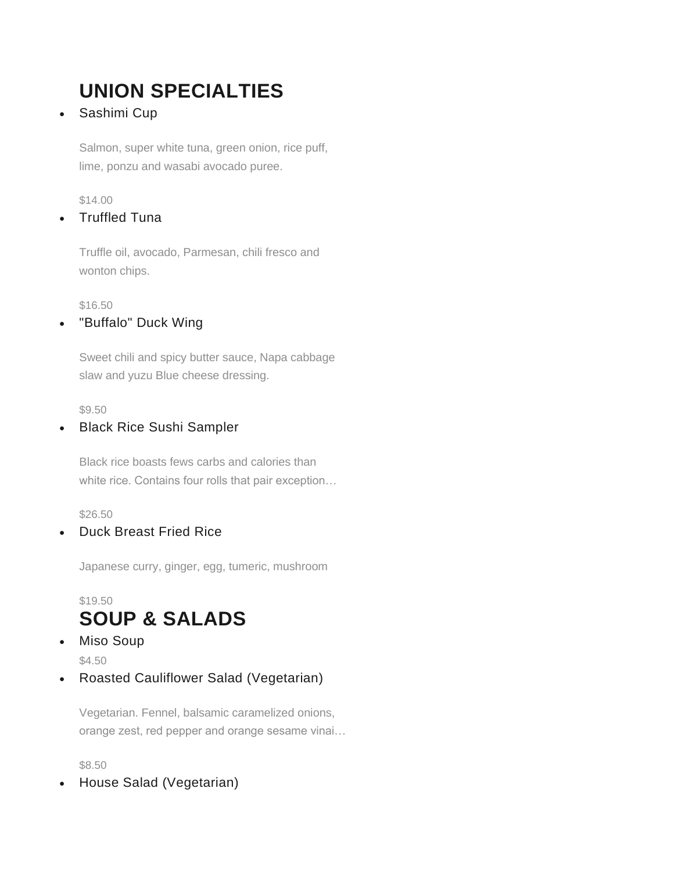# **UNION SPECIALTIES**

• Sashimi Cup

Salmon, super white tuna, green onion, rice puff, lime, ponzu and wasabi avocado puree.

\$14.00

• Truffled Tuna

Truffle oil, avocado, Parmesan, chili fresco and wonton chips.

\$16.50

• "Buffalo" Duck Wing

Sweet chili and spicy butter sauce, Napa cabbage slaw and yuzu Blue cheese dressing.

\$9.50

### • Black Rice Sushi Sampler

Black rice boasts fews carbs and calories than white rice. Contains four rolls that pair exception…

\$26.50

• Duck Breast Fried Rice

Japanese curry, ginger, egg, tumeric, mushroom

# \$19.50 **SOUP & SALADS**

- Miso Soup \$4.50
- Roasted Cauliflower Salad (Vegetarian)

Vegetarian. Fennel, balsamic caramelized onions, orange zest, red pepper and orange sesame vinai…

\$8.50

• House Salad (Vegetarian)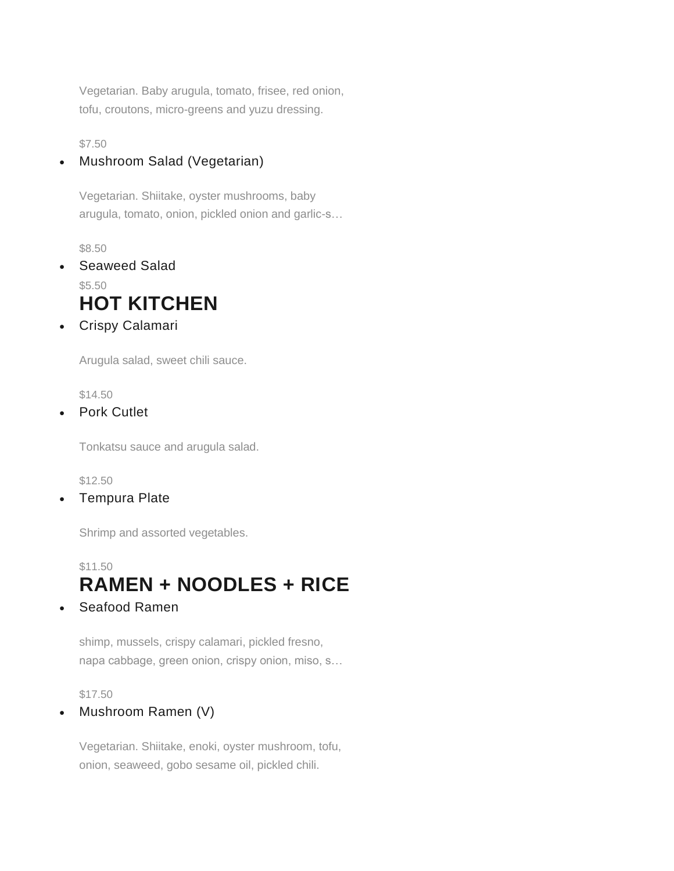Vegetarian. Baby arugula, tomato, frisee, red onion, tofu, croutons, micro-greens and yuzu dressing.

\$7.50

### • Mushroom Salad (Vegetarian)

Vegetarian. Shiitake, oyster mushrooms, baby arugula, tomato, onion, pickled onion and garlic-s…

\$8.50

- Seaweed Salad \$5.50 **HOT KITCHEN**
- Crispy Calamari

Arugula salad, sweet chili sauce.

\$14.50

• Pork Cutlet

Tonkatsu sauce and arugula salad.

\$12.50

• Tempura Plate

Shrimp and assorted vegetables.

# \$11.50 **RAMEN + NOODLES + RICE**

Seafood Ramen

shimp, mussels, crispy calamari, pickled fresno, napa cabbage, green onion, crispy onion, miso, s…

\$17.50

• Mushroom Ramen (V)

Vegetarian. Shiitake, enoki, oyster mushroom, tofu, onion, seaweed, gobo sesame oil, pickled chili.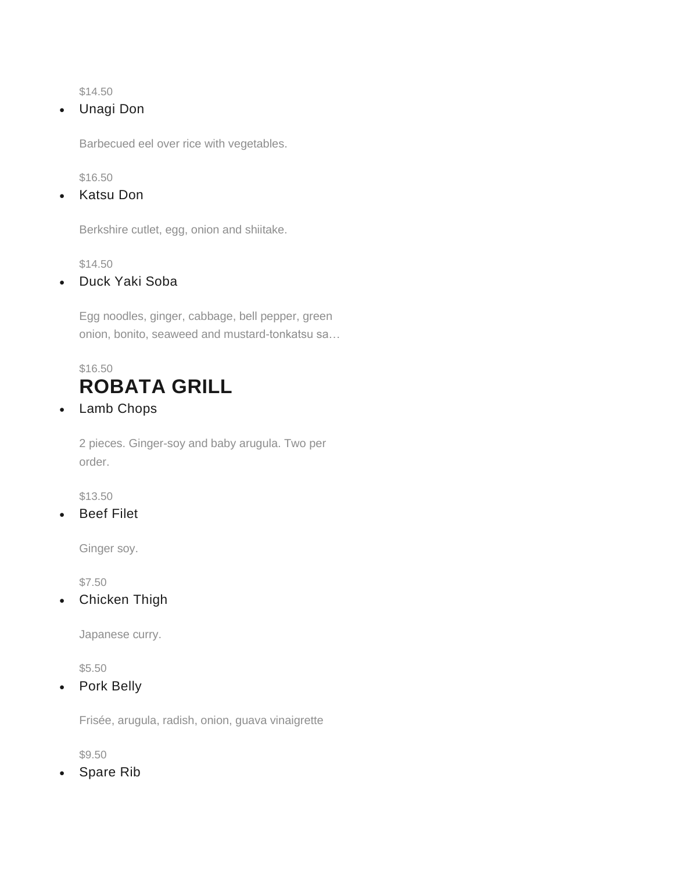\$14.50

• Unagi Don

Barbecued eel over rice with vegetables.

\$16.50

• Katsu Don

Berkshire cutlet, egg, onion and shiitake.

\$14.50

• Duck Yaki Soba

Egg noodles, ginger, cabbage, bell pepper, green onion, bonito, seaweed and mustard-tonkatsu sa…

# \$16.50 **ROBATA GRILL**

• Lamb Chops

2 pieces. Ginger-soy and baby arugula. Two per order.

\$13.50

**Beef Filet** 

Ginger soy.

\$7.50

• Chicken Thigh

Japanese curry.

\$5.50

• Pork Belly

Frisée, arugula, radish, onion, guava vinaigrette

\$9.50

• Spare Rib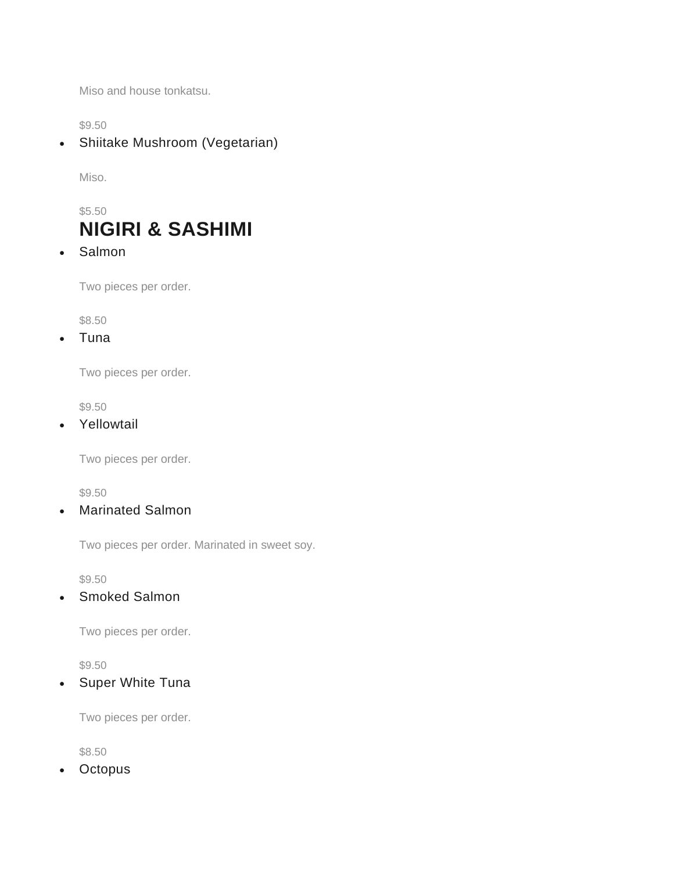Miso and house tonkatsu.

\$9.50

• Shiitake Mushroom (Vegetarian)

Miso.

# \$5.50 **NIGIRI & SASHIMI**

• Salmon

Two pieces per order.

\$8.50

• Tuna

Two pieces per order.

\$9.50

• Yellowtail

Two pieces per order.

\$9.50

• Marinated Salmon

Two pieces per order. Marinated in sweet soy.

\$9.50

• Smoked Salmon

Two pieces per order.

\$9.50

• Super White Tuna

Two pieces per order.

\$8.50

**Octopus**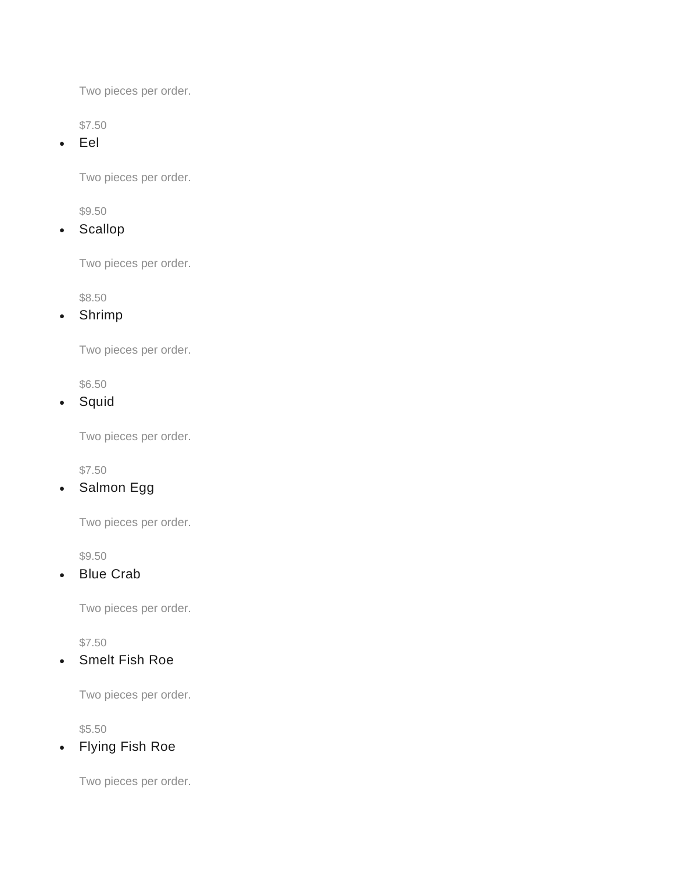Two pieces per order.

\$7.50

• Eel

Two pieces per order.

\$9.50

• Scallop

Two pieces per order.

\$8.50

• Shrimp

Two pieces per order.

\$6.50

• Squid

Two pieces per order.

\$7.50

• Salmon Egg

Two pieces per order.

\$9.50

• Blue Crab

Two pieces per order.

\$7.50

• Smelt Fish Roe

Two pieces per order.

\$5.50

• Flying Fish Roe

Two pieces per order.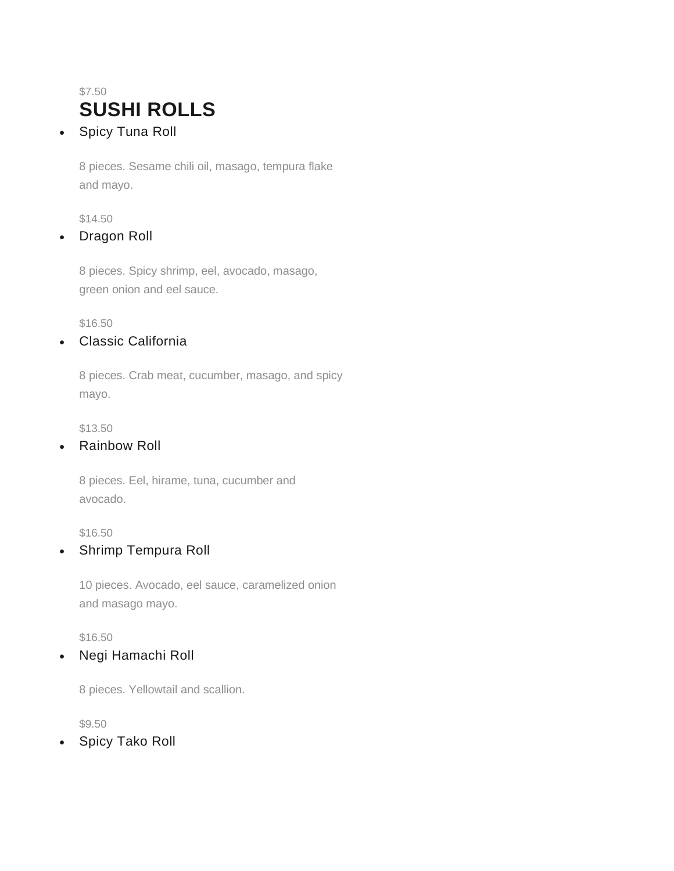# \$7.50 **SUSHI ROLLS**

• Spicy Tuna Roll

8 pieces. Sesame chili oil, masago, tempura flake and mayo.

\$14.50

### • Dragon Roll

8 pieces. Spicy shrimp, eel, avocado, masago, green onion and eel sauce.

\$16.50

### • Classic California

8 pieces. Crab meat, cucumber, masago, and spicy mayo.

\$13.50

## • Rainbow Roll

8 pieces. Eel, hirame, tuna, cucumber and avocado.

\$16.50

### • Shrimp Tempura Roll

10 pieces. Avocado, eel sauce, caramelized onion and masago mayo.

\$16.50

• Negi Hamachi Roll

8 pieces. Yellowtail and scallion.

\$9.50

Spicy Tako Roll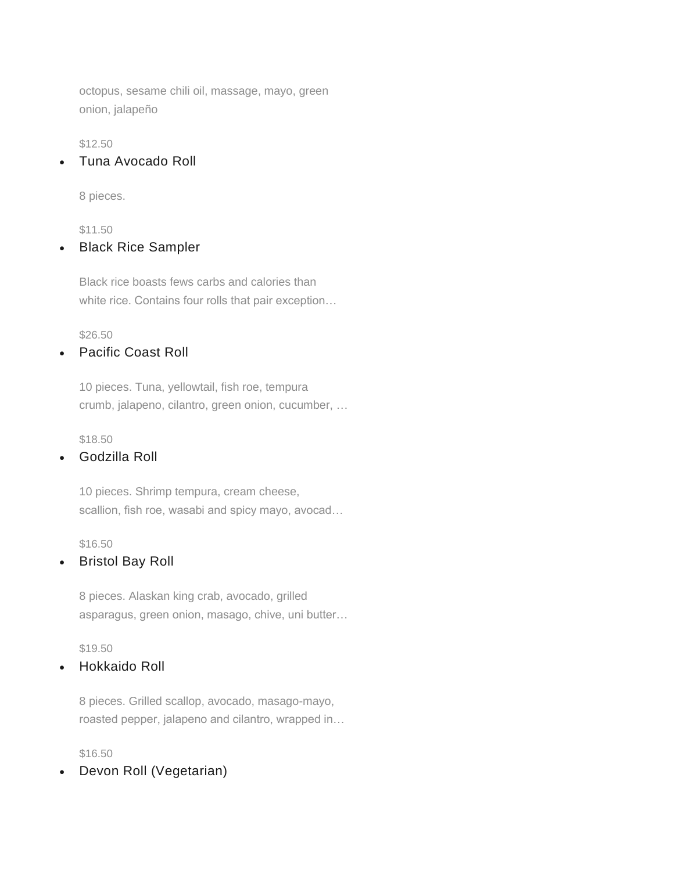octopus, sesame chili oil, massage, mayo, green onion, jalapeño

\$12.50

• Tuna Avocado Roll

8 pieces.

#### \$11.50

### **Black Rice Sampler**

Black rice boasts fews carbs and calories than white rice. Contains four rolls that pair exception…

\$26.50

#### • Pacific Coast Roll

10 pieces. Tuna, yellowtail, fish roe, tempura crumb, jalapeno, cilantro, green onion, cucumber, …

\$18.50

#### • Godzilla Roll

10 pieces. Shrimp tempura, cream cheese, scallion, fish roe, wasabi and spicy mayo, avocad…

\$16.50

#### • Bristol Bay Roll

8 pieces. Alaskan king crab, avocado, grilled asparagus, green onion, masago, chive, uni butter…

\$19.50

#### • Hokkaido Roll

8 pieces. Grilled scallop, avocado, masago-mayo, roasted pepper, jalapeno and cilantro, wrapped in…

\$16.50

• Devon Roll (Vegetarian)